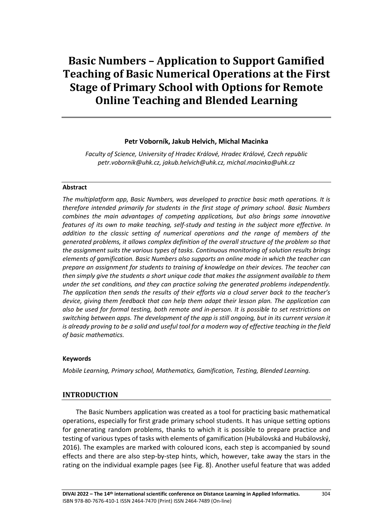# **Basic Numbers – Application to Support Gamified Teaching of Basic Numerical Operations at the First Stage of Primary School with Options for Remote Online Teaching and Blended Learning**

#### **Petr Voborník, Jakub Helvich, Michal Macinka**

*Faculty of Science, University of Hradec Králové, Hradec Králové, Czech republic petr.vobornik@uhk.cz, jakub.helvich@uhk.cz, michal.macinka@uhk.cz*

#### **Abstract**

*The multiplatform app, Basic Numbers, was developed to practice basic math operations. It is therefore intended primarily for students in the first stage of primary school. Basic Numbers combines the main advantages of competing applications, but also brings some innovative features of its own to make teaching, self-study and testing in the subject more effective. In addition to the classic setting of numerical operations and the range of members of the generated problems, it allows complex definition of the overall structure of the problem so that the assignment suits the various types of tasks. Continuous monitoring of solution results brings elements of gamification. Basic Numbers also supports an online mode in which the teacher can prepare an assignment for students to training of knowledge on their devices. The teacher can then simply give the students a short unique code that makes the assignment available to them under the set conditions, and they can practice solving the generated problems independently. The application then sends the results of their efforts via a cloud server back to the teacher's device, giving them feedback that can help them adapt their lesson plan. The application can also be used for formal testing, both remote and in-person. It is possible to set restrictions on switching between apps. The development of the app is still ongoing, but in its current version it is already proving to be a solid and useful tool for a modern way of effective teaching in the field of basic mathematics.*

#### **Keywords**

*Mobile Learning, Primary school, Mathematics, Gamification, Testing, Blended Learning.*

#### **INTRODUCTION**

The Basic Numbers application was created as a tool for practicing basic mathematical operations, especially for first grade primary school students. It has unique setting options for generating random problems, thanks to which it is possible to prepare practice and testing of various types of tasks with elements of gamification (Hubálovská and Hubálovský, 2016). The examples are marked with coloured icons, each step is accompanied by sound effects and there are also step-by-step hints, which, however, take away the stars in the rating on the individual example pages (see Fig. 8). Another useful feature that was added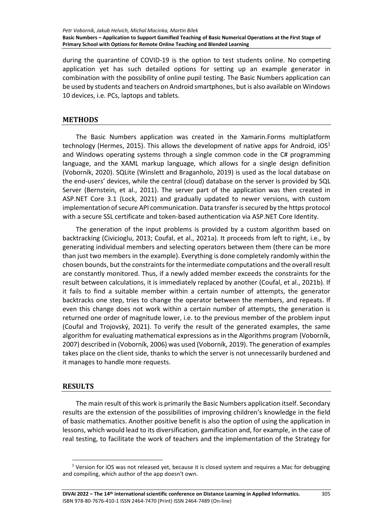during the quarantine of COVID-19 is the option to test students online. No competing application yet has such detailed options for setting up an example generator in combination with the possibility of online pupil testing. The Basic Numbers application can be used by students and teachers on Android smartphones, but is also available on Windows 10 devices, i.e. PCs, laptops and tablets.

## **METHODS**

The Basic Numbers application was created in the Xamarin.Forms multiplatform technology (Hermes, 2015). This allows the development of native apps for Android,  $10S<sup>1</sup>$ and Windows operating systems through a single common code in the C# programming language, and the XAML markup language, which allows for a single design definition (Voborník, 2020). SQLite (Winslett and Braganholo, 2019) is used as the local database on the end-users' devices, while the central (cloud) database on the server is provided by SQL Server (Bernstein, et al., 2011). The server part of the application was then created in ASP.NET Core 3.1 (Lock, 2021) and gradually updated to newer versions, with custom implementation of secure API communication. Data transfer is secured by the https protocol with a secure SSL certificate and token-based authentication via ASP.NET Core Identity.

The generation of the input problems is provided by a custom algorithm based on backtracking (Civicioglu, 2013; Coufal, et al., 2021a). It proceeds from left to right, i.e., by generating individual members and selecting operators between them (there can be more than just two members in the example). Everything is done completely randomly within the chosen bounds, but the constraints for the intermediate computations and the overall result are constantly monitored. Thus, if a newly added member exceeds the constraints for the result between calculations, it is immediately replaced by another (Coufal, et al., 2021b). If it fails to find a suitable member within a certain number of attempts, the generator backtracks one step, tries to change the operator between the members, and repeats. If even this change does not work within a certain number of attempts, the generation is returned one order of magnitude lower, i.e. to the previous member of the problem input (Coufal and Trojovský, 2021). To verify the result of the generated examples, the same algorithm for evaluating mathematical expressions as in the Algorithms program (Voborník, 2007) described in (Voborník, 2006) was used (Voborník, 2019). The generation of examples takes place on the client side, thanks to which the server is not unnecessarily burdened and it manages to handle more requests.

### **RESULTS**

The main result of this work is primarily the Basic Numbers application itself. Secondary results are the extension of the possibilities of improving children's knowledge in the field of basic mathematics. Another positive benefit is also the option of using the application in lessons, which would lead to its diversification, gamification and, for example, in the case of real testing, to facilitate the work of teachers and the implementation of the Strategy for

 $1$  Version for iOS was not released yet, because it is closed system and requires a Mac for debugging and compiling, which author of the app doesn't own.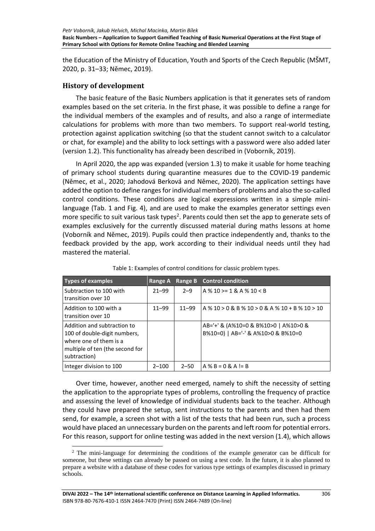the Education of the Ministry of Education, Youth and Sports of the Czech Republic (MŠMT, 2020, p. 31–33; Němec, 2019).

## **History of development**

The basic feature of the Basic Numbers application is that it generates sets of random examples based on the set criteria. In the first phase, it was possible to define a range for the individual members of the examples and of results, and also a range of intermediate calculations for problems with more than two members. To support real-world testing, protection against application switching (so that the student cannot switch to a calculator or chat, for example) and the ability to lock settings with a password were also added later (version 1.2). This functionality has already been described in (Voborník, 2019).

In April 2020, the app was expanded (version 1.3) to make it usable for home teaching of primary school students during quarantine measures due to the COVID-19 pandemic (Němec, et al., 2020; Jahodová Berková and Němec, 2020). The application settings have added the option to define ranges for individual members of problems and also the so-called control conditions. These conditions are logical expressions written in a simple minilanguage (Tab. 1 and Fig. 4), and are used to make the examples generator settings even more specific to suit various task types<sup>2</sup>. Parents could then set the app to generate sets of examples exclusively for the currently discussed material during maths lessons at home (Voborník and Němec, 2019). Pupils could then practice independently and, thanks to the feedback provided by the app, work according to their individual needs until they had mastered the material.

| <b>Types of examples</b>                                                                                                                 | Range A   | Range B   | <b>Control condition</b>                                                   |
|------------------------------------------------------------------------------------------------------------------------------------------|-----------|-----------|----------------------------------------------------------------------------|
| Subtraction to 100 with<br>transition over 10                                                                                            | $21 - 99$ | $2 - 9$   | $A$ % 10 > = 1 & A % 10 < B                                                |
| Addition to 100 with a<br>transition over 10                                                                                             | $11 - 99$ | $11 - 99$ | $A$ % 10 > 0 & B % 10 > 0 & A % 10 + B % 10 > 10                           |
| Addition and subtraction to<br>100 of double-digit numbers,<br>where one of them is a<br>multiple of ten (the second for<br>subtraction) |           |           | AB='+' & (A%10=0 & B%10>0   A%10>0 &<br>B%10=0)   AB='-' & A%10>0 & B%10=0 |
| Integer division to 100                                                                                                                  | $2 - 100$ | $2 - 50$  | $A \% B = 0 & A != B$                                                      |

Table 1: Examples of control conditions for classic problem types.

Over time, however, another need emerged, namely to shift the necessity of setting the application to the appropriate types of problems, controlling the frequency of practice and assessing the level of knowledge of individual students back to the teacher. Although they could have prepared the setup, sent instructions to the parents and then had them send, for example, a screen shot with a list of the tests that had been run, such a process would have placed an unnecessary burden on the parents and left room for potential errors. For this reason, support for online testing was added in the next version (1.4), which allows

<sup>&</sup>lt;sup>2</sup> The mini-language for determining the conditions of the example generator can be difficult for someone, but these settings can already be passed on using a test code. In the future, it is also planned to prepare a website with a database of these codes for various type settings of examples discussed in primary schools.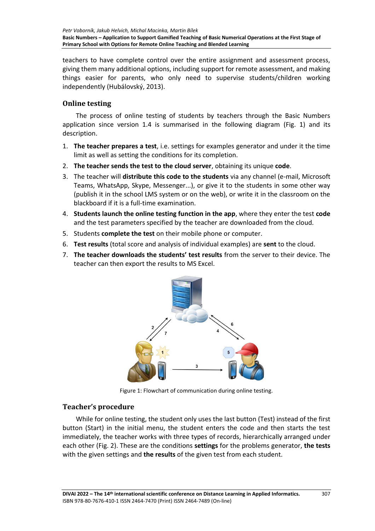teachers to have complete control over the entire assignment and assessment process, giving them many additional options, including support for remote assessment, and making things easier for parents, who only need to supervise students/children working independently (Hubálovský, 2013).

# **Online testing**

The process of online testing of students by teachers through the Basic Numbers application since version 1.4 is summarised in the following diagram (Fig. 1) and its description.

- 1. **The teacher prepares a test**, i.e. settings for examples generator and under it the time limit as well as setting the conditions for its completion.
- 2. **The teacher sends the test to the cloud server**, obtaining its unique **code**.
- 3. The teacher will **distribute this code to the students** via any channel (e-mail, Microsoft Teams, WhatsApp, Skype, Messenger...), or give it to the students in some other way (publish it in the school LMS system or on the web), or write it in the classroom on the blackboard if it is a full-time examination.
- 4. **Students launch the online testing function in the app**, where they enter the test **code** and the test parameters specified by the teacher are downloaded from the cloud.
- 5. Students **complete the test** on their mobile phone or computer.
- 6. **Test results** (total score and analysis of individual examples) are **sent** to the cloud.
- 7. **The teacher downloads the students' test results** from the server to their device. The teacher can then export the results to MS Excel.



Figure 1: Flowchart of communication during online testing.

# **Teacher's procedure**

While for online testing, the student only uses the last button (Test) instead of the first button (Start) in the initial menu, the student enters the code and then starts the test immediately, the teacher works with three types of records, hierarchically arranged under each other (Fig. 2). These are the conditions **settings** for the problems generator, **the tests** with the given settings and **the results** of the given test from each student.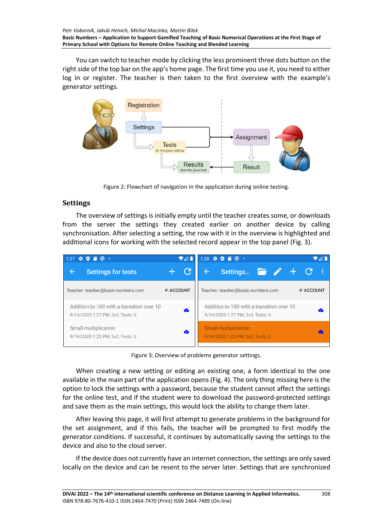You can switch to teacher mode by clicking the less prominent three dots button on the right side of the top bar on the app's home page. The first time you use it, you need to either log in or register. The teacher is then taken to the first overview with the example's generator settings.



Figure 2: Flowchart of navigation in the application during online testing.

# **Settings**

The overview of settings is initially empty until the teacher creates some, or downloads from the server the settings they created earlier on another device by calling synchronisation. After selecting a setting, the row with it in the overview is highlighted and additional icons for working with the selected record appear in the top panel (Fig. 3).

| $1:27$ $\bullet$ $\bullet$ $\bullet$ $\bullet$                                | $\bullet$ 41     | 1:28 $\bullet$ $\bullet$ $\bullet$ $\bullet$ $\bullet$                        |                  |
|-------------------------------------------------------------------------------|------------------|-------------------------------------------------------------------------------|------------------|
| Settings for tests                                                            |                  | Settings $\blacksquare$ $\blacktriangleright$ $\bot$ $\subset$                |                  |
| Teacher: teacher@basic-numbers.com                                            | <b>P ACCOUNT</b> | Teacher: teacher@basic-numbers.com                                            | <b>P ACCOUNT</b> |
| Addition to 100 with a transition over 10<br>9/14/2020 1:27 PM, 3x3, Tests: 0 | ☎                | Addition to 100 with a transition over 10<br>9/14/2020 1:27 PM, 3x3, Tests: 0 |                  |
| Small multiplication<br>9/14/2020 1:22 PM, 5x2, Tests: 0                      | ☎                | <b>Small multiplication</b><br>9/14/2020 1:22 PM, 5x2, Tests: 0               |                  |

Figure 3: Overview of problems generator settings.

When creating a new setting or editing an existing one, a form identical to the one available in the main part of the application opens (Fig. 4). The only thing missing here is the option to lock the settings with a password, because the student cannot affect the settings for the online test, and if the student were to download the password-protected settings and save them as the main settings, this would lock the ability to change them later.

After leaving this page, it will first attempt to generate problems in the background for the set assignment, and if this fails, the teacher will be prompted to first modify the generator conditions. If successful, it continues by automatically saving the settings to the device and also to the cloud server.

If the device does not currently have an internet connection, the settings are only saved locally on the device and can be resent to the server later. Settings that are synchronized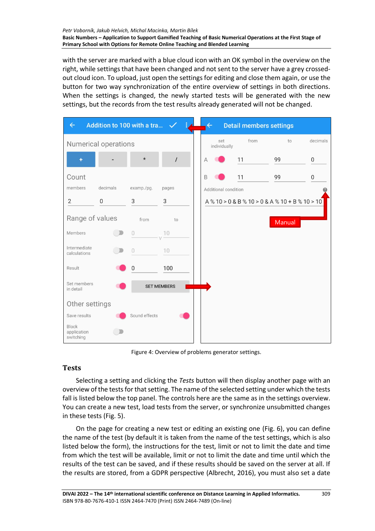with the server are marked with a blue cloud icon with an OK symbol in the overview on the right, while settings that have been changed and not sent to the server have a grey crossedout cloud icon. To upload, just open the settings for editing and close them again, or use the button for two way synchronization of the entire overview of settings in both directions. When the settings is changed, the newly started tests will be generated with the new settings, but the records from the test results already generated will not be changed.

| $\leftarrow$                      | Addition to 100 with a tra |               | $\checkmark$       |   | $\leftarrow$         | <b>Detail members settings</b>         |        |                  |
|-----------------------------------|----------------------------|---------------|--------------------|---|----------------------|----------------------------------------|--------|------------------|
|                                   | Numerical operations       |               |                    |   | set<br>individually  | from                                   | to     | decimals         |
| ۰                                 |                            | $\star$       | $\prime$           | A |                      | 11                                     | 99     | 0                |
| Count                             |                            |               |                    | B |                      | 11                                     | 99     | $\boldsymbol{0}$ |
| members                           | decimals                   | examp./pg.    | pages              |   | Additional condition |                                        |        |                  |
| $\overline{\mathbf{c}}$           | $\,0\,$                    | 3             | 3                  |   |                      | A%10 > 0 & B%10 > 0 & A%10 + B%10 > 10 |        |                  |
| Range of values                   |                            | from          | to                 |   |                      |                                        | Manual |                  |
| Members                           |                            | $\cup$        | 10                 |   |                      |                                        |        |                  |
| Intermediate<br>calculations      |                            | $\theta$      | 10                 |   |                      |                                        |        |                  |
| Result                            |                            | $\mathbf 0$   | 100                |   |                      |                                        |        |                  |
| Set members<br>in detail          |                            |               | <b>SET MEMBERS</b> |   |                      |                                        |        |                  |
| Other settings                    |                            |               |                    |   |                      |                                        |        |                  |
| Save results                      |                            | Sound effects |                    |   |                      |                                        |        |                  |
| Block<br>application<br>switching |                            |               |                    |   |                      |                                        |        |                  |

Figure 4: Overview of problems generator settings.

# **Tests**

Selecting a setting and clicking the *Tests* button will then display another page with an overview of the tests for that setting. The name of the selected setting under which the tests fall is listed below the top panel. The controls here are the same as in the settings overview. You can create a new test, load tests from the server, or synchronize unsubmitted changes in these tests (Fig. 5).

On the page for creating a new test or editing an existing one (Fig. 6), you can define the name of the test (by default it is taken from the name of the test settings, which is also listed below the form), the instructions for the test, limit or not to limit the date and time from which the test will be available, limit or not to limit the date and time until which the results of the test can be saved, and if these results should be saved on the server at all. If the results are stored, from a GDPR perspective (Albrecht, 2016), you must also set a date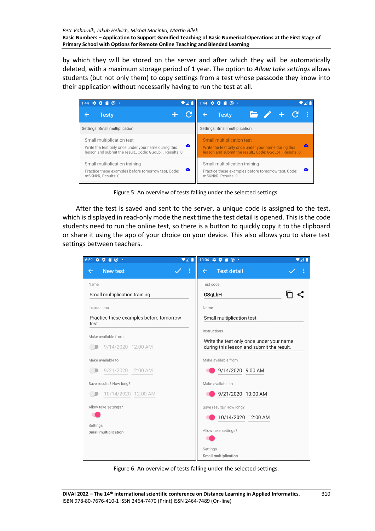by which they will be stored on the server and after which they will be automatically deleted, with a maximum storage period of 1 year. The option to *Allow take settings* allows students (but not only them) to copy settings from a test whose passcode they know into their application without necessarily having to run the test at all.



Figure 5: An overview of tests falling under the selected settings.

After the test is saved and sent to the server, a unique code is assigned to the test, which is displayed in read-only mode the next time the test detail is opened. This is the code students need to run the online test, so there is a button to quickly copy it to the clipboard or share it using the app of your choice on your device. This also allows you to share test settings between teachers.

| ▼⊿∎<br>$\bullet \bullet \bullet \bullet \circ \cdot$<br>6:59 | $10:04$ $\bullet$ $\bullet$ $\bullet$ $\bullet$ $\bullet$ $\bullet$<br>♥⊿∎            |
|--------------------------------------------------------------|---------------------------------------------------------------------------------------|
| <b>New test</b><br>←                                         | <b>Test detail</b><br>$\leftarrow$                                                    |
| Name                                                         | Test code                                                                             |
| Small multiplication training                                | <b>GSqLbH</b>                                                                         |
| Instructions                                                 | Name                                                                                  |
| Practice these examples before tomorrow<br>test              | Small multiplication test                                                             |
| Make available from                                          | Instructions                                                                          |
| 9/14/2020 12:00 AM                                           | Write the test only once under your name<br>during this lesson and submit the result. |
| Make available to                                            | Make available from                                                                   |
| 9/21/2020 12:00 AM                                           | 9/14/2020 9:00 AM                                                                     |
| Save results? How long?                                      | Make available to                                                                     |
| 10/14/2020 12:00 AM                                          | 9/21/2020 10:00 AM                                                                    |
| Allow take settings?                                         | Save results? How long?                                                               |
|                                                              | 10/14/2020 12:00 AM                                                                   |
| Settings<br>Small multiplication                             | Allow take settings?                                                                  |
|                                                              |                                                                                       |
|                                                              | Settings                                                                              |
|                                                              | Small multiplication                                                                  |

Figure 6: An overview of tests falling under the selected settings.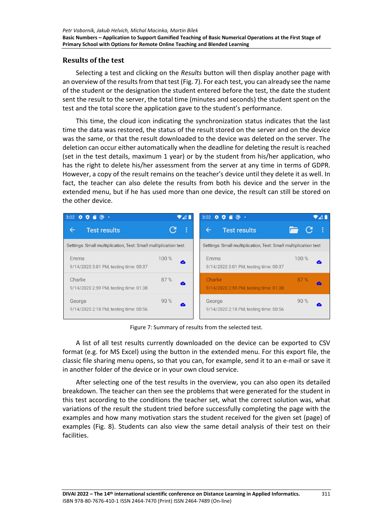## **Results of the test**

Selecting a test and clicking on the *Results* button will then display another page with an overview of the results from that test (Fig. 7). For each test, you can already see the name of the student or the designation the student entered before the test, the date the student sent the result to the server, the total time (minutes and seconds) the student spent on the test and the total score the application gave to the student's performance.

This time, the cloud icon indicating the synchronization status indicates that the last time the data was restored, the status of the result stored on the server and on the device was the same, or that the result downloaded to the device was deleted on the server. The deletion can occur either automatically when the deadline for deleting the result is reached (set in the test details, maximum 1 year) or by the student from his/her application, who has the right to delete his/her assessment from the server at any time in terms of GDPR. However, a copy of the result remains on the teacher's device until they delete it as well. In fact, the teacher can also delete the results from both his device and the server in the extended menu, but if he has used more than one device, the result can still be stored on the other device.



Figure 7: Summary of results from the selected test.

A list of all test results currently downloaded on the device can be exported to CSV format (e.g. for MS Excel) using the button in the extended menu. For this export file, the classic file sharing menu opens, so that you can, for example, send it to an e-mail or save it in another folder of the device or in your own cloud service.

After selecting one of the test results in the overview, you can also open its detailed breakdown. The teacher can then see the problems that were generated for the student in this test according to the conditions the teacher set, what the correct solution was, what variations of the result the student tried before successfully completing the page with the examples and how many motivation stars the student received for the given set (page) of examples (Fig. 8). Students can also view the same detail analysis of their test on their facilities.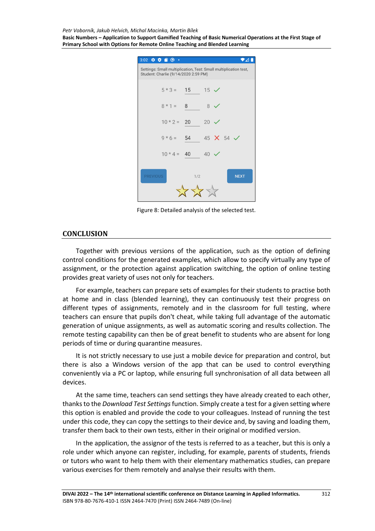*Petr Voborník, Jakub Helvich, Michal Macinka, Martin Bílek*

**Basic Numbers – Application to Support Gamified Teaching of Basic Numerical Operations at the First Stage of Primary School with Options for Remote Online Teaching and Blended Learning**



Figure 8: Detailed analysis of the selected test.

#### **CONCLUSION**

Together with previous versions of the application, such as the option of defining control conditions for the generated examples, which allow to specify virtually any type of assignment, or the protection against application switching, the option of online testing provides great variety of uses not only for teachers.

For example, teachers can prepare sets of examples for their students to practise both at home and in class (blended learning), they can continuously test their progress on different types of assignments, remotely and in the classroom for full testing, where teachers can ensure that pupils don't cheat, while taking full advantage of the automatic generation of unique assignments, as well as automatic scoring and results collection. The remote testing capability can then be of great benefit to students who are absent for long periods of time or during quarantine measures.

It is not strictly necessary to use just a mobile device for preparation and control, but there is also a Windows version of the app that can be used to control everything conveniently via a PC or laptop, while ensuring full synchronisation of all data between all devices.

At the same time, teachers can send settings they have already created to each other, thanks to the *Download Test Settings*function. Simply create a test for a given setting where this option is enabled and provide the code to your colleagues. Instead of running the test under this code, they can copy the settings to their device and, by saving and loading them, transfer them back to their own tests, either in their original or modified version.

In the application, the assignor of the tests is referred to as a teacher, but this is only a role under which anyone can register, including, for example, parents of students, friends or tutors who want to help them with their elementary mathematics studies, can prepare various exercises for them remotely and analyse their results with them.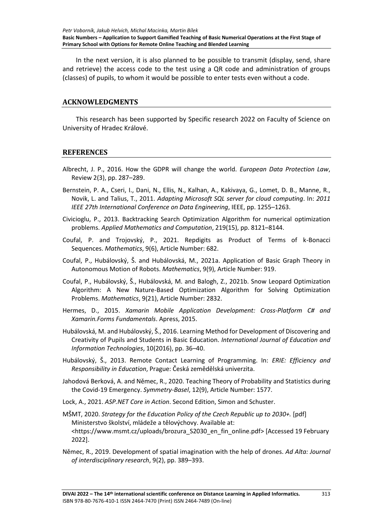In the next version, it is also planned to be possible to transmit (display, send, share and retrieve) the access code to the test using a QR code and administration of groups (classes) of pupils, to whom it would be possible to enter tests even without a code.

#### **ACKNOWLEDGMENTS**

This research has been supported by Specific research 2022 on Faculty of Science on University of Hradec Králové.

#### **REFERENCES**

- Albrecht, J. P., 2016. How the GDPR will change the world. *European Data Protection Law*, Review 2(3), pp. 287–289.
- Bernstein, P. A., Cseri, I., Dani, N., Ellis, N., Kalhan, A., Kakivaya, G., Lomet, D. B., Manne, R., Novik, L. and Talius, T., 2011. *Adapting Microsoft SQL server for cloud computing*. In: *2011 IEEE 27th International Conference on Data Engineering*, IEEE, pp. 1255–1263.
- Civicioglu, P., 2013. Backtracking Search Optimization Algorithm for numerical optimization problems. *Applied Mathematics and Computation*, 219(15), pp. 8121–8144.
- Coufal, P. and Trojovský, P., 2021. Repdigits as Product of Terms of k-Bonacci Sequences. *Mathematics*, 9(6), Article Number: 682.
- Coufal, P., Hubálovský, Š. and Hubálovská, M., 2021a. Application of Basic Graph Theory in Autonomous Motion of Robots. *Mathematics*, 9(9), Article Number: 919.
- Coufal, P., Hubálovský, Š., Hubálovská, M. and Balogh, Z., 2021b. Snow Leopard Optimization Algorithm: A New Nature-Based Optimization Algorithm for Solving Optimization Problems. *Mathematics*, 9(21), Article Number: 2832.
- Hermes, D., 2015. *Xamarin Mobile Application Development: Cross-Platform C# and Xamarin.Forms Fundamentals*. Apress, 2015.
- Hubálovská, M. and Hubálovský, Š., 2016. Learning Method for Development of Discovering and Creativity of Pupils and Students in Basic Education. *International Journal of Education and Information Technologies*, 10(2016), pp. 36–40.
- Hubálovský, Š., 2013. Remote Contact Learning of Programming. In: *ERIE: Efficiency and Responsibility in Education*, Prague: Česká zemědělská univerzita.
- Jahodová Berková, A. and Němec, R., 2020. Teaching Theory of Probability and Statistics during the Covid-19 Emergency. *Symmetry-Basel*, 12(9), Article Number: 1577.
- Lock, A., 2021. *ASP.NET Core in Action*. Second Edition, Simon and Schuster.
- MŠMT, 2020. *Strategy for the Education Policy of the Czech Republic up to 2030+.* [pdf] Ministerstvo školství, mládeže a tělovýchovy. Available at: <https://www.msmt.cz/uploads/brozura\_S2030\_en\_fin\_online.pdf> [Accessed 19 February 2022].
- Němec, R., 2019. Development of spatial imagination with the help of drones. *Ad Alta: Journal of interdisciplinary research*, 9(2), pp. 389–393.